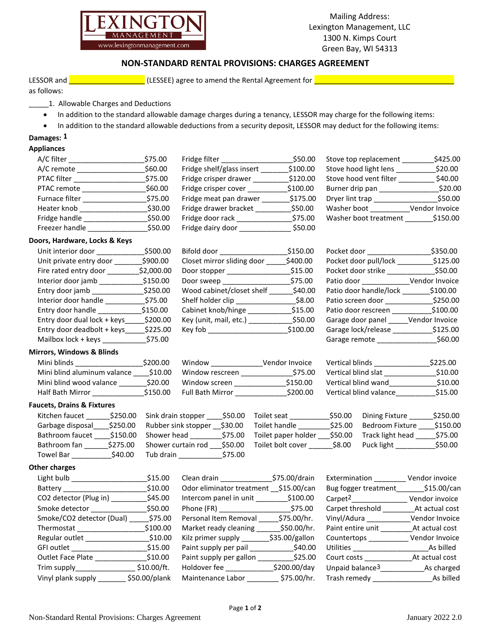

Mailing Address: Lexington Management, LLC 1300 N. Kimps Court Green Bay, WI 54313

## **NON-STANDARD RENTAL PROVISIONS: CHARGES AGREEMENT**

LESSOR and  $\Box$  and  $\Box$  are  $\Box$  (LESSEE) agree to amend the Rental Agreement for  $\Box$  and  $\Box$  and  $\Box$  are  $\Box$ 

as follows:

- 1. Allowable Charges and Deductions
- In addition to the standard allowable damage charges during a tenancy, LESSOR may charge for the following items:
- In addition to the standard allowable deductions from a security deposit, LESSOR may deduct for the following items:

# **Damages: 1**

## **Appliances**

| A/C filter     | \$75.00 | Fridge filter             | \$50.00  |
|----------------|---------|---------------------------|----------|
| A/C remote     | \$60.00 | Fridge shelf/glass insert | \$100.00 |
| PTAC filter    | \$75.00 | Fridge crisper drawer     | \$120.00 |
| PTAC remote    | \$60.00 | Fridge crisper cover      | \$100.00 |
| Furnace filter | \$75.00 | Fridge meat pan drawer    | \$175.00 |
| Heater knob    | \$30.00 | Fridge drawer bracket     | \$50.00  |
| Fridge handle  | \$50.00 | Fridge door rack          | \$75.00  |
| Freezer handle | \$50.00 | Fridge dairy door         | \$50.00  |
|                |         |                           |          |

| A/C filter     | \$75.00 | Fridge filter             | \$50.00  | Stove top replacement  | \$425.00       |
|----------------|---------|---------------------------|----------|------------------------|----------------|
| A/C remote     | \$60.00 | Fridge shelf/glass insert | \$100.00 | Stove hood light lens  | \$20.00        |
| PTAC filter    | \$75.00 | Fridge crisper drawer     | \$120.00 | Stove hood vent filter | \$40.00        |
| PTAC remote    | \$60.00 | Fridge crisper cover      | \$100.00 | Burner drip pan        | \$20.0         |
| Furnace filter | \$75.00 | Fridge meat pan drawer    | \$175.00 | Dryer lint trap        | \$50.00        |
| Heater knob    | \$30.00 | Fridge drawer bracket     | \$50.00  | Washer boot            | Vendor Invoice |
| Fridge handle  | \$50.00 | Fridge door rack          | \$75.00  | Washer boot treatment  | \$150.00       |
| Freezer handle | \$50.00 | Fridge dairy door         | \$50.00  |                        |                |

| Unit interior door          | \$500.00   | Bifold door                | \$150.00 | Pocket door            | \$350.00       |
|-----------------------------|------------|----------------------------|----------|------------------------|----------------|
| Unit private entry door     | \$900.00   | Closet mirror sliding door | \$400.00 | Pocket door pull/lock  | \$125.00       |
| Fire rated entry door       | \$2,000.00 | Door stopper               | \$15.00  | Pocket door strike     | \$50.00        |
| Interior door jamb          | \$150.00   | Door sweep                 | \$75.00  | Patio door             | Vendor Invoice |
| Entry door jamb             | \$250.00   | Wood cabinet/closet shelf  | \$40.00  | Patio door handle/lock | \$100.00       |
| Interior door handle        | \$75.00    | Shelf holder clip          | \$8.00   | Patio screen door      | \$250.00       |
| Entry door handle           | \$150.00   | Cabinet knob/hinge         | \$15.00  | Patio door rescreen    | \$100.00       |
| Entry door dual lock + keys | \$200.00   | Key (unit, mail, etc.)     | \$50.00  | Garage door panel      | Vendor Invoice |
| Entry door deadbolt + keys  | \$225.00   | Key fob                    | \$100.00 | Garage lock/release    | \$125.00       |
| Mailbox lock + keys         | \$75.00    |                            |          | Garage remote          | \$60.00        |

#### **Mirrors, Windows & Blinds**

| Mini blinds                 | \$200.00 | Window                  | Vendor Invoice | Vertical blinds        | \$225.00 |
|-----------------------------|----------|-------------------------|----------------|------------------------|----------|
| Mini blind aluminum valance | \$10.00  | Window rescreen         | \$75.00        | Vertical blind slat    | \$10.00  |
| Mini blind wood valance     | \$20.00  | Window screen           | \$150.00       | Vertical blind wand    | \$10.00  |
| Half Bath Mirror            | \$150.00 | <b>Full Bath Mirror</b> | \$200.00       | Vertical blind valance | \$15.00  |

#### **Faucets, Drains & Fixtures**

| Kitchen faucet   | \$250.00 | Sink drain stopper  | \$50.00 |
|------------------|----------|---------------------|---------|
| Garbage disposal | \$250.00 | Rubber sink stopper | \$30.00 |
| Bathroom faucet  | \$150.00 | Shower head         | \$75.00 |
| Bathroom fan     | \$275.00 | Shower curtain rod  | \$50.00 |
| Towel Bar        | \$40.00  | Tub drain           | \$75.00 |

### **Other charges**

| Light bulb                           | \$15.00       |
|--------------------------------------|---------------|
| Battery                              | \$10.00       |
| CO2 detector (Plug in)               | \$45.00       |
| Smoke detector                       | \$50.00       |
| Smoke/CO2 detector (Dual) __ \$75.00 |               |
| Thermostat ______________            | \$100.00      |
| Regular outlet_                      | \$10.00       |
| GFI outlet                           | \$15.00       |
| Outlet Face Plate                    | \$10.00       |
| Trim supply_____                     | \$10.00/ft.   |
| Vinyl plank supply                   | \$50.00/plank |

| Bifold door                | \$150.00 |
|----------------------------|----------|
| Closet mirror sliding door | \$400.00 |
| Door stopper               | \$15.00  |
| Door sweep _               | \$75.00  |
| Wood cabinet/closet shelf  | \$40.00  |
| Shelf holder clip          | \$8.00   |
| Cabinet knob/hinge         | \$15.00  |
| Key (unit, mail, etc.)     | \$50.00  |
| Kev fob                    | \$100.00 |

| Mini blinds                 | \$200.00 | Window                  | Vendor Invoice | Vertical blinds        | \$225.00 |
|-----------------------------|----------|-------------------------|----------------|------------------------|----------|
| Mini blind aluminum valance | \$10.00  | Window rescreen         | \$75.00        | Vertical blind slat    | \$10.00  |
| Mini blind wood valance     | \$20.00  | Window screen           | \$150.00       | Vertical blind wand    | \$10.00  |
| Half Bath Mirror            | \$150.00 | <b>Full Bath Mirror</b> | \$200.00       | Vertical blind valance | \$15.00  |

| Kitchen faucet   | \$250.00 | Sink drain stopper  | \$50.00 | Toilet seat         | \$50.00 | Dining Fixture   | \$250.00 |
|------------------|----------|---------------------|---------|---------------------|---------|------------------|----------|
| Garbage disposal | \$250.00 | Rubber sink stopper | \$30.00 | Toilet handle       | \$25.00 | Bedroom Fixture  | \$150.00 |
| Bathroom faucet  | \$150.00 | Shower head         | \$75.00 | Toilet paper holder | \$50.00 | Track light head | \$75.00  |
| Bathroom fan     | \$275.00 | Shower curtain rod  | \$50.00 | Toilet bolt cover   | \$8.00  | Puck light       | \$50.00  |
| Towel Bar        | \$40.00  | Tub drain           | \$75.00 |                     |         |                  |          |

| Light bulb                | \$15.00       |                                       | \$75.00/drain  | Extermination               | Vendor invoice |
|---------------------------|---------------|---------------------------------------|----------------|-----------------------------|----------------|
| Battery                   | \$10.00       | Odor eliminator treatment \$15.00/can |                | Bug fogger treatment        | \$15.00/car    |
| CO2 detector (Plug in) __ | \$45.00       | Intercom panel in unit \$100.00       |                | Carpet <sup>2</sup>         | Vendor invoice |
| Smoke detector            | \$50.00       | Phone (FR) ___________________        | \$75.00        | Carpet threshold            | At actual cost |
| Smoke/CO2 detector (Dual) | \$75.00       | Personal Item Removal                 | \$75.00/hr.    | Vinyl/Adura                 | Vendor Invoice |
| Thermostat                | \$100.00      | Market ready cleaning                 | \$50.00/hr.    | Paint entire unit           | At actual cost |
| Regular outlet            | \$10.00       | Kilz primer supply _____              | \$35.00/gallon | Countertops                 | Vendor Invoice |
| GFI outlet                | \$15.00       | Paint supply per pail                 | \$40.00        | Utilities                   | As billed      |
| Outlet Face Plate         | \$10.00       | Paint supply per gallon               | \$25.00        | Court costs                 | At actual cost |
| Trim supply____           | \$10.00/ft.   | Holdover fee                          | \$200.00/day   | Unpaid balance <sup>3</sup> | As charged     |
| Vinyl plank supply        | \$50.00/plank | Maintenance Labor                     | \$75.00/hr.    | Trash remedy                | As billed      |
|                           |               |                                       |                |                             |                |

| A/C filter     | \$75.00 | Fridge filter             | \$50.00  | Stove top replacement  | \$425.00       |
|----------------|---------|---------------------------|----------|------------------------|----------------|
| A/C remote     | \$60.00 | Fridge shelf/glass insert | \$100.00 | Stove hood light lens  | \$20.00        |
| PTAC filter    | \$75.00 | Fridge crisper drawer     | \$120.00 | Stove hood vent filter | \$40.00        |
| PTAC remote    | \$60.00 | Fridge crisper cover      | \$100.00 | Burner drip pan        | \$20.00        |
| Furnace filter | \$75.00 | Fridge meat pan drawer    | \$175.00 | Dryer lint trap        | \$50.00        |
| Heater knob    | \$30.00 | Fridge drawer bracket     | \$50.00  | Washer boot            | Vendor Invoice |
| Fridge handle  | \$50.00 | Fridge door rack          | \$75.00  | Washer boot treatment  | \$150.00       |
|                |         |                           |          |                        |                |

| Unit interior door          | \$500.00   | Bifold door                | \$150.00 | Pocket door            | \$350.00       |
|-----------------------------|------------|----------------------------|----------|------------------------|----------------|
| Unit private entry door     | \$900.00   | Closet mirror sliding door | \$400.00 | Pocket door pull/lock  | \$125.00       |
| Fire rated entry door       | \$2,000.00 | Door stopper               | \$15.00  | Pocket door strike     | \$50.00        |
| Interior door jamb          | \$150.00   | Door sweep                 | \$75.00  | Patio door             | Vendor Invoice |
| Entry door jamb             | \$250.00   | Wood cabinet/closet shelf  | \$40.00  | Patio door handle/lock | \$100.00       |
| Interior door handle        | \$75.00    | Shelf holder clip          | \$8.00   | Patio screen door      | \$250.00       |
| Entry door handle           | \$150.00   | Cabinet knob/hinge         | \$15.00  | Patio door rescreen    | \$100.00       |
| Entry door dual lock + keys | \$200.00   | Key (unit, mail, etc.)     | \$50.00  | Garage door panel      | Vendor Invoice |
| Entry door deadbolt + keys  | \$225.00   | Key fob <b>compared</b>    | \$100.00 | Garage lock/release    | \$125.00       |
| Mailbox lock + keys         | \$75.00    |                            |          | Garage remote          | \$60.00        |

| Vertical blinds        | \$225.00 |
|------------------------|----------|
| Vertical blind slat    | \$10.00  |
| Vertical blind wand    | \$10.00  |
| Vertical blind valance | \$15.00  |

| Light bulb                  | \$15.00       | Clean drain and the control of the control of the control of the control of the control of the control of the control of the control of the control of the control of the control of the control of the control of the control | \$75.00/drain  | Extermination               | Vendor invoice |
|-----------------------------|---------------|--------------------------------------------------------------------------------------------------------------------------------------------------------------------------------------------------------------------------------|----------------|-----------------------------|----------------|
| Battery                     | \$10.00       | Odor eliminator treatment \$15.00/can                                                                                                                                                                                          |                | Bug fogger treatment        | \$15.00/can    |
| CO2 detector (Plug in) ____ | \$45.00       |                                                                                                                                                                                                                                |                | Carpet <sup>2</sup>         | Vendor invoice |
| Smoke detector              | \$50.00       |                                                                                                                                                                                                                                | \$75.00        | Carpet threshold            | At actual cost |
| Smoke/CO2 detector (Dual)   | \$75.00       | Personal Item Removal                                                                                                                                                                                                          | \$75.00/hr.    | Vinyl/Adura                 | Vendor Invoice |
| Thermostat                  | \$100.00      | Market ready cleaning                                                                                                                                                                                                          | \$50.00/hr.    | Paint entire unit           | At actual cost |
| Regular outlet              | \$10.00       | Kilz primer supply _____                                                                                                                                                                                                       | \$35.00/gallon | Countertops                 | Vendor Invoice |
| GFI outlet                  | \$15.00       | Paint supply per pail                                                                                                                                                                                                          | \$40.00        | Utilities ______            | As billed      |
| Outlet Face Plate           | \$10.00       | Paint supply per gallon                                                                                                                                                                                                        | \$25.00        | Court costs                 | At actual cost |
| Trim supply_                | \$10.00/ft.   | Holdover fee                                                                                                                                                                                                                   | \$200.00/day   | Unpaid balance <sup>3</sup> | As charged     |
| Vinyl plank supply          | \$50.00/plank | Maintenance Labor                                                                                                                                                                                                              | \$75.00/hr.    | Trash remedy                | As billed      |